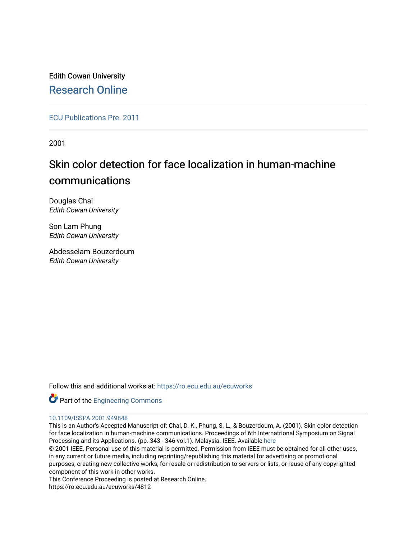Edith Cowan University [Research Online](https://ro.ecu.edu.au/) 

[ECU Publications Pre. 2011](https://ro.ecu.edu.au/ecuworks)

2001

# Skin color detection for face localization in human-machine communications

Douglas Chai Edith Cowan University

Son Lam Phung Edith Cowan University

Abdesselam Bouzerdoum Edith Cowan University

Follow this and additional works at: [https://ro.ecu.edu.au/ecuworks](https://ro.ecu.edu.au/ecuworks?utm_source=ro.ecu.edu.au%2Fecuworks%2F4812&utm_medium=PDF&utm_campaign=PDFCoverPages) 



## [10.1109/ISSPA.2001.949848](http://dx.doi.org/10.1109/ISSPA.2001.949848)

This is an Author's Accepted Manuscript of: Chai, D. K., Phung, S. L., & Bouzerdoum, A. (2001). Skin color detection for face localization in human-machine communications. Proceedings of 6th Internatrional Symposium on Signal Processing and its Applications. (pp. 343 - 346 vol.1). Malaysia. IEEE. Available [here](http://dx.doi.org/10.1109/ISSPA.2001.949848)

© 2001 IEEE. Personal use of this material is permitted. Permission from IEEE must be obtained for all other uses, in any current or future media, including reprinting/republishing this material for advertising or promotional purposes, creating new collective works, for resale or redistribution to servers or lists, or reuse of any copyrighted component of this work in other works.

This Conference Proceeding is posted at Research Online.

https://ro.ecu.edu.au/ecuworks/4812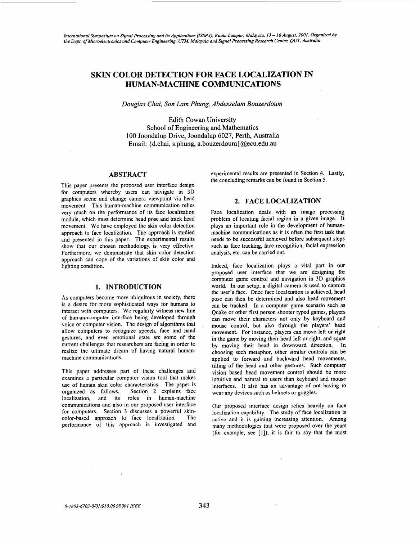*International Symposium on Signal Processing and its Applications (ISSPA)). Kuala Lumpur, Malaysia. I3* - *I6 August, 2001. Organized by the Dept. of Microelectronics and Computer Engineering, UTM, Malaysia and Signal Processing Research Centre, QUT, Australia* 

# **SKIN COLOR DETECTION FOR FACE LOCALIZATION IN HUMAN-MACHINE COMMUNICATIONS**

*Douglas Chai, Son Lam Phung, Abdesselam Bouzerdoum* 

Edith Cowan University School of Engineering and Mathematics 100 Joondalup Drive, Joondalup 6027, Perth, Australia Email: { d.chai, s.phung, a.bouzerdoum}@ecu.edu.au

#### **ABSTRACT**

This paper presents the proposed user interface design for computers whereby users can navigate in 3D graphics scene and change camera viewpoint via head movement. This human-machine communication relies very much on the performance of its face localization module, which must determine head pose and track head movement. We have employed the skin color detection approach *to* face localization. The approach is studied and presented in this paper. The experimental results show that our chosen methodology, is very effective. Furthermore, we demonstrate that skin color detection approach can cope of the variations of skin color and lighting condition.

#### **1. INTRODUCTION**

**As** computers become more ubiquitous in society, there is a desire for more sophisticated ways **for** humans to interact with computers. We regularly witness new line of human-computer interface being developed through voice or computer vision. The design of algorithms that allow computers to recognize speech, face and hand gestures, and even emotional state are some of the current challenges that researchers are facing in order to realize the ultimate dream of having natural humanmachine communications.

This' paper addresses part of these challenges and examines a particular computer vision tool that makes use of human skin color characteristics. The paper is organized as follows. Section 2 explains face localization, and its roles in human-machine communications and also in our proposed user interface for computers. Section **3** discusses a powerful skincolor-based approach to face localization. The performance of this approach is investigated and

experimental results are presented in Section **4.** Lastly, the concluding remarks can be found in Section *5.* 

#### **2. FACE LOCALIZATION**

Face localization deals with an image processing problem of locating facial region in a given image. It plays **an** important role in the development of humanmachine communications as it is often the first task that needs to be successful achieved before subsequent steps such as face tracking, face recognition, facial expression analysis, etc. can be carried out.

Indeed, face localization plays a vital part in our proposed user interface that we are designing for computer game control and navigation in 3D graphics world. In our setup, a digital camera is used to capture the user's face. Once face localization is achieved, head pose can then be determined and also head movement can be tracked. In a computer game scenario such **as**  Quake or other first person shooter typed games, players can move their characters not only by keyboard and mouse control, but also through the players' head movement. For instance, players can move left or right in the game by moving their head left or right, and squat by moving their head in downward direction. In choosing such metaphor, other similar controls can be applied to forward and backward head movements, tilting of the head and other gestures. Such computer vision based head movement control should be more intuitive and natural to users than keyboard and mouse interfaces. It also has an advantage of not having **to**  wear any devices such as helmets or goggles.

Our proposed interface design relies heavily on face localization capability. The study of face localization is active and it is gaining increasing attention. Among many methodologies that were proposed over the years (for example, see [l]), it is fair to say that the most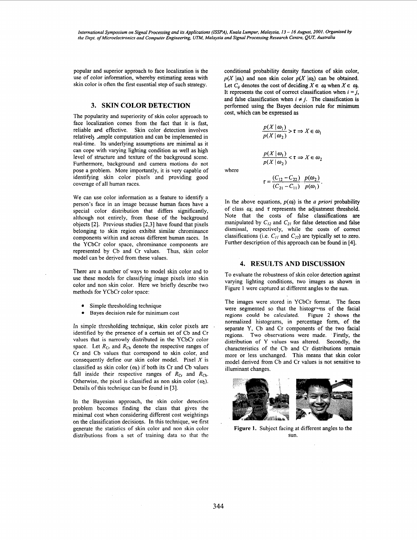<span id="page-2-0"></span>popular and superior approach to face localization is the use of color information, whereby estimating areas with skin color is often the first essential step of such strategy.

# **3. SKIN COLOR DETECTION**

The popularity and superiority of skin color approach to face localization comes from the fact that it is fast, reliable and effective. Skin color detection involves relatively , imple computation and can be implemented in real-time. Its underlying assumptions are minimal as it can cope with varying lighting condition as well as high level of structure and texture of the background scene. Furthermore, background and camera motions do not pose a problem. More importantly, it is very capable of identifying skin color pixels and providing good coverage of all human races.

We can use color information as a feature to identify a person's face in an image because human faces have a special color distribution that differs significantly, although not entirely, from those of the background objects **[2].** Previous studies **[2,3]** have found that pixels belonging to skin region exhibit similar chrominance components within and across different human races. In the YCbCr color space, chrominance components are represented by Cb and Cr values. Thus, skin color model can be derived from these values.

There are a number of ways to model skin color and to use these models for classifying image pixels into skin color and non skin color. Here we briefly describe two methods for YCbCr color space:

- Simple thresholding technique  $\bullet$
- Bayes decision rule for minimum cost  $\bullet$

In simple thresholding technique, skin color pixels are identified by the presence of a certain set of Cb and Cr values that is narrowly distributed in the YCbCr color space. Let  $R_{Cr}$  and  $R_{Cb}$  denote the respective ranges of Cr and Cb values that correspond to skin color, and consequently define our skin color model. Pixel *X* is classified as skin color  $(\omega_1)$  if both its Cr and Cb values fall inside their respective ranges of  $R_{Cr}$  and  $R_{Cb}$ . Otherwise, the pixel is classified as non skin color  $(\omega_2)$ . Details of this technique can be found in **[3].** 

In the Bayesian approach, the skin color detection problem becomes finding the class that gives the minimal cost when considering different cost weightings on the classification decisions. In this technique, we \*first generate the statistics of skin color and non skin color distributions from a set of training data so that the

 $\sim$ 

conditional probability density functions of skin color,  $p(X | \omega)$  and non skin color  $p(X | \omega)$  can be obtained. Let  $C_{ij}$  denotes the cost of deciding  $X \in \omega_i$  when  $X \in \omega_i$ . It represents the cost of correct classification when  $i = j$ , and false classification when  $i \neq j$ . The classification is performed using the Bayes decision rule for minimum cost, which can be expressed as

$$
\frac{p(X \mid \omega_1)}{p(X \mid \omega_2)} > \tau \Rightarrow X \in \omega_1
$$

$$
\frac{p(X \mid \omega_1)}{p(X \mid \omega_2)} < \tau \Rightarrow X \in \omega_2
$$

where

$$
\tau = \frac{(C_{12} - C_{22})}{(C_{21} - C_{11})} \cdot \frac{p(\omega_2)}{p(\omega_1)}
$$

In the above equations,  $p(\omega)$  is the *a priori* probability of class  $\omega_i$ ; and  $\tau$  represents the adjustment threshold. Note that the costs of false classifications are manipulated by  $C_{12}$  and  $C_{21}$  for false detection and false dismissal, respectively, while the costs of correct classifications (i.e.  $C_{II}$  and  $C_{22}$ ) are typically set to zero. Further description of this approach can be found in **[4].** 

# **4. RESULTS AND DISCUSSION**

To evaluate the robustness of skin color detection against varying lighting conditions, two images as shown in Figure 1 were captured at different angles to the sun.

The images were stored in YCbCr format. The faces were segmented so that the histogroms of the facial regions could be calculated. [Figure](#page-3-0) **2** shows the normalized histograms, in percentage form, of the separate Y, Cb and Cr components of the two facial regions. Two observations were made. Firstly, the distribution of Y values was altered. Secondly, the characteristics of the Cb and Cr distributions remain more or less unchanged. This means that skin color model derived from Cb and Cr values is not sensitive to illuminant changes.



**Figure 1.** Subject facing at different angles to the sun.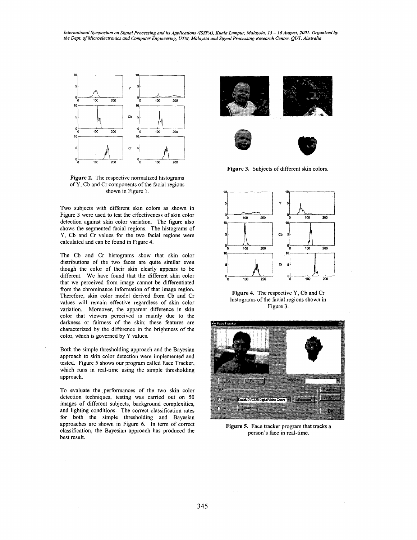<span id="page-3-0"></span>*International Symposium on Signal Processing and its Applications (ISSPA), Kuala Lumpur, Malaysia, 13 - 16 August, 2001. Organized by the Dept. of Microelectronics and Computer Engineering, UTM, Malaysia and Signal Processing Research Centre, QUr Australia* 



**Figure 2.** The respective normalized histograms of Y, Cb and Cr components of the facial regions shown in [Figure 1.](#page-2-0)

Two subjects with different skin colors as shown in Figure 3 were used to test the effectiveness of skin color detection against skin color variation. The figure also shows the segmented facial regions. The histograms of Y, Cb and Cr values for the two facial regions were calculated and can be found in Figure **4.** 

The Cb and Cr histograms show that skin color distributions of the two faces are quite similar even though the color of their skin clearly appears to be different. We have found that the different skin color that we perceived from image cannot be differentiated from the chrominance information of that image region. Therefore, skin color model derived from Cb and Cr values will remain effective regardless of skin color variation. Moreover, the apparent difference in skin color that viewers perceived is mainly due to the darkness or fairness of the skin; these features are characterized by the difference in the brightness of the color, which is governed by Y values.

Both the simple thresholding approach and the Bayesian approach to skin color detection were implemented and tested. Figure 5 shows our program called Face Tracker, which runs in real-time using the simple thresholding approach.

To evaluate the performances of the two skin color detection techniques, testing was carried out on **50**  images of different subjects, background complexities, and lighting conditions. The correct classification rates for both the simple thresholding and Bayesian approaches are shown in [Figure](#page-4-0) *6.* In term of correct dassification, the Bayesian approach has produced the best result.







**Figure 3.** Subjects of different skin colors.



**Figure 4.** The respective Y, Cb and Cr histograms of the facial regions shown in Figure 3.



Figure 5. Face tracker program that tracks a person's face in real-time.